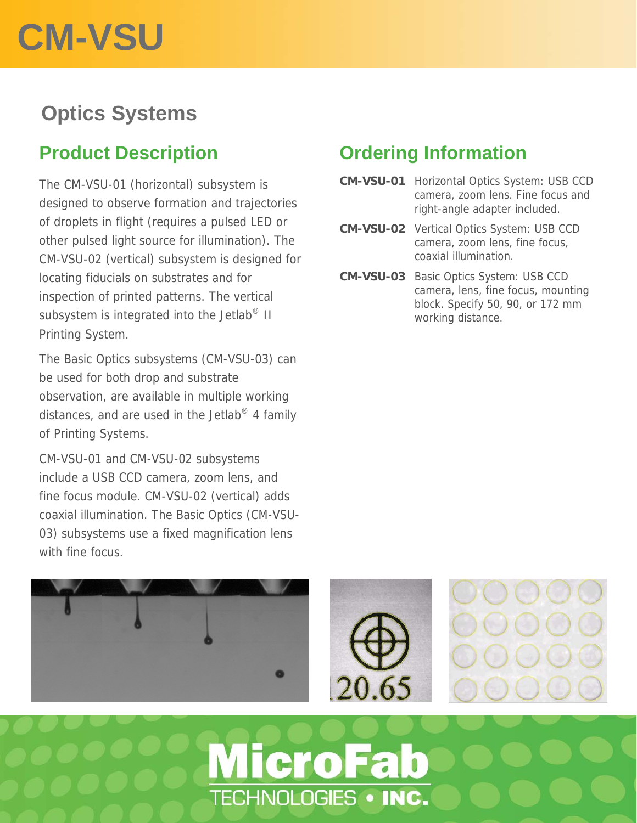# **CM-VSU**

### **Optics Systems**

#### **Product Description**

The CM-VSU-01 (horizontal) subsystem is designed to observe formation and trajectories of droplets in flight (requires a pulsed LED or other pulsed light source for illumination). The CM-VSU-02 (vertical) subsystem is designed for locating fiducials on substrates and for inspection of printed patterns. The vertical subsystem is integrated into the Jetlab<sup>®</sup> II Printing System.

The Basic Optics subsystems (CM-VSU-03) can be used for both drop and substrate observation, are available in multiple working distances, and are used in the Jetlab $^{\circ}$  4 family of Printing Systems.

CM-VSU-01 and CM-VSU-02 subsystems include a USB CCD camera, zoom lens, and fine focus module. CM-VSU-02 (vertical) adds coaxial illumination. The Basic Optics (CM-VSU-03) subsystems use a fixed magnification lens with fine focus.

#### **Ordering Information**

- **CM-VSU-01** Horizontal Optics System: USB CCD camera, zoom lens. Fine focus and right-angle adapter included.
- **CM-VSU-02** Vertical Optics System: USB CCD camera, zoom lens, fine focus, coaxial illumination.
- **CM-VSU-03** Basic Optics System: USB CCD camera, lens, fine focus, mounting block. Specify 50, 90, or 172 mm working distance.



TECHNOLOGIES . INC.